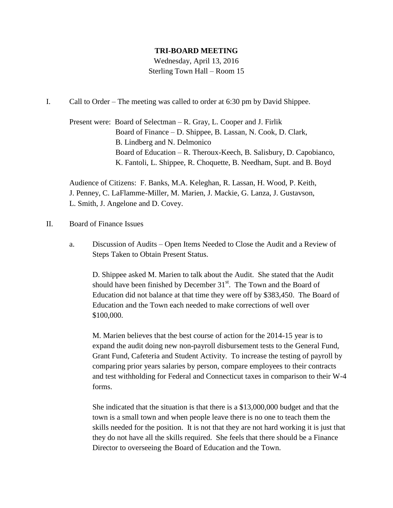## **TRI-BOARD MEETING**

Wednesday, April 13, 2016 Sterling Town Hall – Room 15

I. Call to Order – The meeting was called to order at 6:30 pm by David Shippee.

Present were: Board of Selectman – R. Gray, L. Cooper and J. Firlik Board of Finance – D. Shippee, B. Lassan, N. Cook, D. Clark, B. Lindberg and N. Delmonico Board of Education – R. Theroux-Keech, B. Salisbury, D. Capobianco, K. Fantoli, L. Shippee, R. Choquette, B. Needham, Supt. and B. Boyd

Audience of Citizens: F. Banks, M.A. Keleghan, R. Lassan, H. Wood, P. Keith, J. Penney, C. LaFlamme-Miller, M. Marien, J. Mackie, G. Lanza, J. Gustavson, L. Smith, J. Angelone and D. Covey.

## II. Board of Finance Issues

a. Discussion of Audits – Open Items Needed to Close the Audit and a Review of Steps Taken to Obtain Present Status.

D. Shippee asked M. Marien to talk about the Audit. She stated that the Audit should have been finished by December  $31<sup>st</sup>$ . The Town and the Board of Education did not balance at that time they were off by \$383,450. The Board of Education and the Town each needed to make corrections of well over \$100,000.

M. Marien believes that the best course of action for the 2014-15 year is to expand the audit doing new non-payroll disbursement tests to the General Fund, Grant Fund, Cafeteria and Student Activity. To increase the testing of payroll by comparing prior years salaries by person, compare employees to their contracts and test withholding for Federal and Connecticut taxes in comparison to their W-4 forms.

She indicated that the situation is that there is a \$13,000,000 budget and that the town is a small town and when people leave there is no one to teach them the skills needed for the position. It is not that they are not hard working it is just that they do not have all the skills required. She feels that there should be a Finance Director to overseeing the Board of Education and the Town.